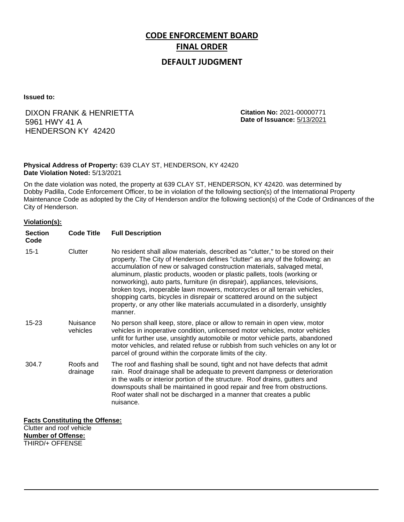# **CODE ENFORCEMENT BOARD FINAL ORDER**

## **DEFAULT JUDGMENT**

**Issued to:**

# DIXON FRANK & HENRIETTA 5961 HWY 41 A HENDERSON KY 42420

**Citation No:** 2021-00000771 **Date of Issuance:** 5/13/2021

#### **Physical Address of Property:** 639 CLAY ST, HENDERSON, KY 42420 **Date Violation Noted:** 5/13/2021

On the date violation was noted, the property at 639 CLAY ST, HENDERSON, KY 42420. was determined by Dobby Padilla, Code Enforcement Officer, to be in violation of the following section(s) of the International Property Maintenance Code as adopted by the City of Henderson and/or the following section(s) of the Code of Ordinances of the City of Henderson.

#### **Violation(s):**

| <b>Section</b><br>Code | <b>Code Title</b>           | <b>Full Description</b>                                                                                                                                                                                                                                                                                                                                                                                                                                                                                                                                                                                                                                     |
|------------------------|-----------------------------|-------------------------------------------------------------------------------------------------------------------------------------------------------------------------------------------------------------------------------------------------------------------------------------------------------------------------------------------------------------------------------------------------------------------------------------------------------------------------------------------------------------------------------------------------------------------------------------------------------------------------------------------------------------|
| $15 - 1$               | Clutter                     | No resident shall allow materials, described as "clutter," to be stored on their<br>property. The City of Henderson defines "clutter" as any of the following: an<br>accumulation of new or salvaged construction materials, salvaged metal,<br>aluminum, plastic products, wooden or plastic pallets, tools (working or<br>nonworking), auto parts, furniture (in disrepair), appliances, televisions,<br>broken toys, inoperable lawn mowers, motorcycles or all terrain vehicles,<br>shopping carts, bicycles in disrepair or scattered around on the subject<br>property, or any other like materials accumulated in a disorderly, unsightly<br>manner. |
| $15 - 23$              | <b>Nuisance</b><br>vehicles | No person shall keep, store, place or allow to remain in open view, motor<br>vehicles in inoperative condition, unlicensed motor vehicles, motor vehicles<br>unfit for further use, unsightly automobile or motor vehicle parts, abandoned<br>motor vehicles, and related refuse or rubbish from such vehicles on any lot or<br>parcel of ground within the corporate limits of the city.                                                                                                                                                                                                                                                                   |
| 304.7                  | Roofs and<br>drainage       | The roof and flashing shall be sound, tight and not have defects that admit<br>rain. Roof drainage shall be adequate to prevent dampness or deterioration<br>in the walls or interior portion of the structure. Roof drains, gutters and<br>downspouts shall be maintained in good repair and free from obstructions.<br>Roof water shall not be discharged in a manner that creates a public<br>nuisance.                                                                                                                                                                                                                                                  |

### **Facts Constituting the Offense:**

Clutter and roof vehicle **Number of Offense:** THIRD/+ OFFENSE